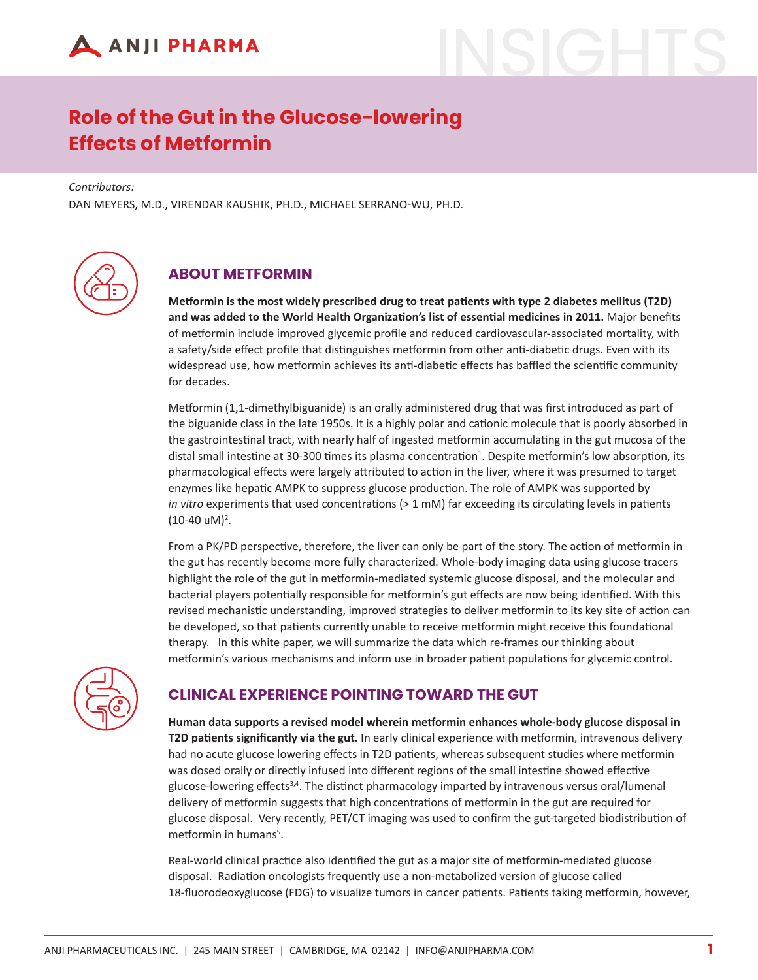

# **Role of the Gut in the Glucose-lowering Effects of Metformin**

*Contributors:*

DAN MEYERS, M.D., VIRENDAR KAUSHIK, PH.D., MICHAEL SERRANO-WU, PH.D.



## **ABOUT METFORMIN**

**Metformin is the most widely prescribed drug to treat patients with type 2 diabetes mellitus (T2D) and was added to the World Health Organization's list of essential medicines in 2011.** Major benefits of metformin include improved glycemic profile and reduced cardiovascular-associated mortality, with a safety/side effect profile that distinguishes metformin from other anti-diabetic drugs. Even with its widespread use, how metformin achieves its anti-diabetic effects has baffled the scientific community for decades.

Metformin (1,1-dimethylbiguanide) is an orally administered drug that was first introduced as part of the biguanide class in the late 1950s. It is a highly polar and cationic molecule that is poorly absorbed in the gastrointestinal tract, with nearly half of ingested metformin accumulating in the gut mucosa of the distal small intestine at 30-300 times its plasma concentration<sup>1</sup>. Despite metformin's low absorption, its pharmacological effects were largely attributed to action in the liver, where it was presumed to target enzymes like hepatic AMPK to suppress glucose production. The role of AMPK was supported by *in vitro* experiments that used concentrations (> 1 mM) far exceeding its circulating levels in patients  $(10-40 \text{ uM})^2$ .

From a PK/PD perspective, therefore, the liver can only be part of the story. The action of metformin in the gut has recently become more fully characterized. Whole-body imaging data using glucose tracers highlight the role of the gut in metformin-mediated systemic glucose disposal, and the molecular and bacterial players potentially responsible for metformin's gut effects are now being identified. With this revised mechanistic understanding, improved strategies to deliver metformin to its key site of action can be developed, so that patients currently unable to receive metformin might receive this foundational therapy. In this white paper, we will summarize the data which re-frames our thinking about metformin's various mechanisms and inform use in broader patient populations for glycemic control.



## **CLINICAL EXPERIENCE POINTING TOWARD THE GUT**

**Human data supports a revised model wherein metformin enhances whole-body glucose disposal in T2D patients significantly via the gut.** In early clinical experience with metformin, intravenous delivery had no acute glucose lowering effects in T2D patients, whereas subsequent studies where metformin was dosed orally or directly infused into different regions of the small intestine showed effective glucose-lowering effects<sup>3,4</sup>. The distinct pharmacology imparted by intravenous versus oral/lumenal delivery of metformin suggests that high concentrations of metformin in the gut are required for glucose disposal. Very recently, PET/CT imaging was used to confirm the gut-targeted biodistribution of metformin in humans<sup>5</sup>.

Real-world clinical practice also identified the gut as a major site of metformin-mediated glucose disposal. Radiation oncologists frequently use a non-metabolized version of glucose called 18-fluorodeoxyglucose (FDG) to visualize tumors in cancer patients. Patients taking metformin, however,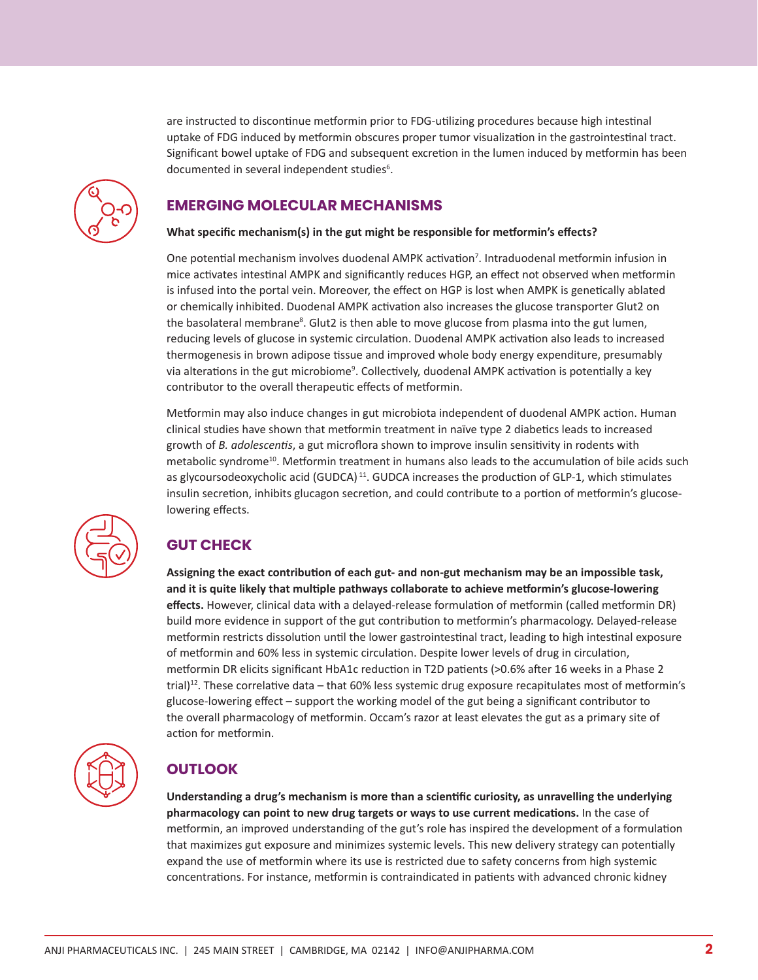

are instructed to discontinue metformin prior to FDG-utilizing procedures because high intestinal uptake of FDG induced by metformin obscures proper tumor visualization in the gastrointestinal tract. Significant bowel uptake of FDG and subsequent excretion in the lumen induced by metformin has been documented in several independent studies<sup>6</sup>.

## **EMERGING MOLECULAR MECHANISMS**

#### **What specific mechanism(s) in the gut might be responsible for metformin's effects?**

One potential mechanism involves duodenal AMPK activation<sup>7</sup>. Intraduodenal metformin infusion in mice activates intestinal AMPK and significantly reduces HGP, an effect not observed when metformin is infused into the portal vein. Moreover, the effect on HGP is lost when AMPK is genetically ablated or chemically inhibited. Duodenal AMPK activation also increases the glucose transporter Glut2 on the basolateral membrane<sup>8</sup>. Glut2 is then able to move glucose from plasma into the gut lumen, reducing levels of glucose in systemic circulation. Duodenal AMPK activation also leads to increased thermogenesis in brown adipose tissue and improved whole body energy expenditure, presumably via alterations in the gut microbiome<sup>9</sup>. Collectively, duodenal AMPK activation is potentially a key contributor to the overall therapeutic effects of metformin.

Metformin may also induce changes in gut microbiota independent of duodenal AMPK action. Human clinical studies have shown that metformin treatment in naïve type 2 diabetics leads to increased growth of *B. adolescentis*, a gut microflora shown to improve insulin sensitivity in rodents with metabolic syndrome<sup>10</sup>. Metformin treatment in humans also leads to the accumulation of bile acids such as glycoursodeoxycholic acid (GUDCA)<sup>11</sup>. GUDCA increases the production of GLP-1, which stimulates insulin secretion, inhibits glucagon secretion, and could contribute to a portion of metformin's glucoselowering effects.



## **GUT CHECK**

**Assigning the exact contribution of each gut- and non-gut mechanism may be an impossible task, and it is quite likely that multiple pathways collaborate to achieve metformin's glucose-lowering effects.** However, clinical data with a delayed-release formulation of metformin (called metformin DR) build more evidence in support of the gut contribution to metformin's pharmacology. Delayed-release metformin restricts dissolution until the lower gastrointestinal tract, leading to high intestinal exposure of metformin and 60% less in systemic circulation. Despite lower levels of drug in circulation, metformin DR elicits significant HbA1c reduction in T2D patients (>0.6% after 16 weeks in a Phase 2 trial)<sup>12</sup>. These correlative data – that 60% less systemic drug exposure recapitulates most of metformin's glucose-lowering effect – support the working model of the gut being a significant contributor to the overall pharmacology of metformin. Occam's razor at least elevates the gut as a primary site of action for metformin.



## **OUTLOOK**

**Understanding a drug's mechanism is more than a scientific curiosity, as unravelling the underlying pharmacology can point to new drug targets or ways to use current medications.** In the case of metformin, an improved understanding of the gut's role has inspired the development of a formulation that maximizes gut exposure and minimizes systemic levels. This new delivery strategy can potentially expand the use of metformin where its use is restricted due to safety concerns from high systemic concentrations. For instance, metformin is contraindicated in patients with advanced chronic kidney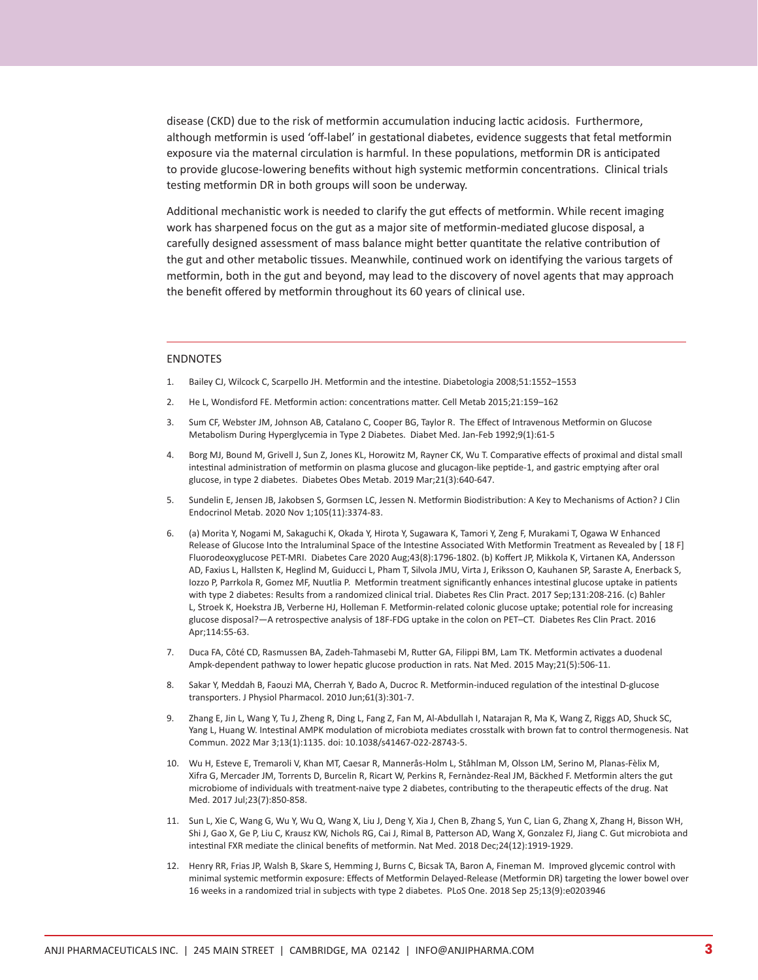disease (CKD) due to the risk of metformin accumulation inducing lactic acidosis. Furthermore, although metformin is used 'off-label' in gestational diabetes, evidence suggests that fetal metformin exposure via the maternal circulation is harmful. In these populations, metformin DR is anticipated to provide glucose-lowering benefits without high systemic metformin concentrations. Clinical trials testing metformin DR in both groups will soon be underway.

Additional mechanistic work is needed to clarify the gut effects of metformin. While recent imaging work has sharpened focus on the gut as a major site of metformin-mediated glucose disposal, a carefully designed assessment of mass balance might better quantitate the relative contribution of the gut and other metabolic tissues. Meanwhile, continued work on identifying the various targets of metformin, both in the gut and beyond, may lead to the discovery of novel agents that may approach the benefit offered by metformin throughout its 60 years of clinical use.

#### ENDNOTES

- 1. Bailey CJ, Wilcock C, Scarpello JH. Metformin and the intestine. Diabetologia 2008;51:1552–1553
- 2. He L, Wondisford FE. Metformin action: concentrations matter. Cell Metab 2015;21:159–162
- 3. Sum CF, Webster JM, Johnson AB, Catalano C, Cooper BG, Taylor R. The Effect of Intravenous Metformin on Glucose Metabolism During Hyperglycemia in Type 2 Diabetes. Diabet Med. Jan-Feb 1992;9(1):61-5
- 4. Borg MJ, Bound M, Grivell J, Sun Z, Jones KL, Horowitz M, Rayner CK, Wu T. Comparative effects of proximal and distal small intestinal administration of metformin on plasma glucose and glucagon-like peptide-1, and gastric emptying after oral glucose, in type 2 diabetes. Diabetes Obes Metab. 2019 Mar;21(3):640-647.
- 5. Sundelin E, Jensen JB, Jakobsen S, Gormsen LC, Jessen N. Metformin Biodistribution: A Key to Mechanisms of Action? J Clin Endocrinol Metab. 2020 Nov 1;105(11):3374-83.
- 6. (a) Morita Y, Nogami M, Sakaguchi K, Okada Y, Hirota Y, Sugawara K, Tamori Y, Zeng F, Murakami T, Ogawa W Enhanced Release of Glucose Into the Intraluminal Space of the Intestine Associated With Metformin Treatment as Revealed by [ 18 F] Fluorodeoxyglucose PET-MRI. Diabetes Care 2020 Aug;43(8):1796-1802. (b) Koffert JP, Mikkola K, Virtanen KA, Andersson AD, Faxius L, Hallsten K, Heglind M, Guiducci L, Pham T, Silvola JMU, Virta J, Eriksson O, Kauhanen SP, Saraste A, Enerback S, Iozzo P, Parrkola R, Gomez MF, Nuutlia P. Metformin treatment significantly enhances intestinal glucose uptake in patients with type 2 diabetes: Results from a randomized clinical trial. Diabetes Res Clin Pract. 2017 Sep;131:208-216. (c) Bahler L, Stroek K, Hoekstra JB, Verberne HJ, Holleman F. Metformin-related colonic glucose uptake; potential role for increasing glucose disposal?—A retrospective analysis of 18F-FDG uptake in the colon on PET–CT. Diabetes Res Clin Pract. 2016 Apr;114:55-63.
- 7. Duca FA, Côté CD, Rasmussen BA, Zadeh-Tahmasebi M, Rutter GA, Filippi BM, Lam TK. Metformin activates a duodenal Ampk-dependent pathway to lower hepatic glucose production in rats. Nat Med. 2015 May;21(5):506-11.
- 8. Sakar Y, Meddah B, Faouzi MA, Cherrah Y, Bado A, Ducroc R. Metformin-induced regulation of the intestinal D-glucose transporters. J Physiol Pharmacol. 2010 Jun;61(3):301-7.
- 9. Zhang E, Jin L, Wang Y, Tu J, Zheng R, Ding L, Fang Z, Fan M, Al-Abdullah I, Natarajan R, Ma K, Wang Z, Riggs AD, Shuck SC, Yang L, Huang W. Intestinal AMPK modulation of microbiota mediates crosstalk with brown fat to control thermogenesis. Nat Commun. 2022 Mar 3;13(1):1135. doi: 10.1038/s41467-022-28743-5.
- 10. Wu H, Esteve E, Tremaroli V, Khan MT, Caesar R, Mannerås-Holm L, Ståhlman M, Olsson LM, Serino M, Planas-Fèlix M, Xifra G, Mercader JM, Torrents D, Burcelin R, Ricart W, Perkins R, Fernàndez-Real JM, Bäckhed F. Metformin alters the gut microbiome of individuals with treatment-naive type 2 diabetes, contributing to the therapeutic effects of the drug. Nat Med. 2017 Jul;23(7):850-858.
- 11. Sun L, Xie C, Wang G, Wu Y, Wu Q, Wang X, Liu J, Deng Y, Xia J, Chen B, Zhang S, Yun C, Lian G, Zhang X, Zhang H, Bisson WH, Shi J, Gao X, Ge P, Liu C, Krausz KW, Nichols RG, Cai J, Rimal B, Patterson AD, Wang X, Gonzalez FJ, Jiang C. Gut microbiota and intestinal FXR mediate the clinical benefits of metformin. Nat Med. 2018 Dec;24(12):1919-1929.
- 12. Henry RR, Frias JP, Walsh B, Skare S, Hemming J, Burns C, Bicsak TA, Baron A, Fineman M. Improved glycemic control with minimal systemic metformin exposure: Effects of Metformin Delayed-Release (Metformin DR) targeting the lower bowel over 16 weeks in a randomized trial in subjects with type 2 diabetes. PLoS One. 2018 Sep 25;13(9):e0203946